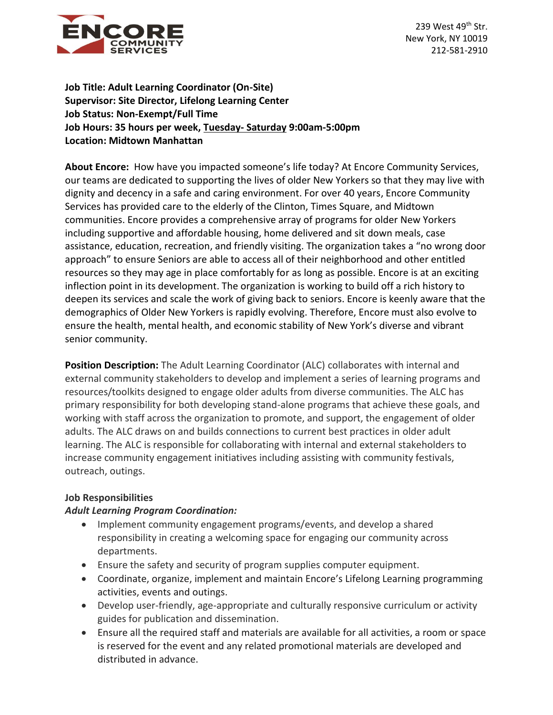

239 West 49<sup>th</sup> Str. New York, NY 10019 212-581-2910

**Job Title: Adult Learning Coordinator (On-Site) Supervisor: Site Director, Lifelong Learning Center Job Status: Non-Exempt/Full Time Job Hours: 35 hours per week, Tuesday- Saturday 9:00am-5:00pm Location: Midtown Manhattan**

**About Encore:** How have you impacted someone's life today? At Encore Community Services, our teams are dedicated to supporting the lives of older New Yorkers so that they may live with dignity and decency in a safe and caring environment. For over 40 years, Encore Community Services has provided care to the elderly of the Clinton, Times Square, and Midtown communities. Encore provides a comprehensive array of programs for older New Yorkers including supportive and affordable housing, home delivered and sit down meals, case assistance, education, recreation, and friendly visiting. The organization takes a "no wrong door approach" to ensure Seniors are able to access all of their neighborhood and other entitled resources so they may age in place comfortably for as long as possible. Encore is at an exciting inflection point in its development. The organization is working to build off a rich history to deepen its services and scale the work of giving back to seniors. Encore is keenly aware that the demographics of Older New Yorkers is rapidly evolving. Therefore, Encore must also evolve to ensure the health, mental health, and economic stability of New York's diverse and vibrant senior community.

**Position Description:** The Adult Learning Coordinator (ALC) collaborates with internal and external community stakeholders to develop and implement a series of learning programs and resources/toolkits designed to engage older adults from diverse communities. The ALC has primary responsibility for both developing stand-alone programs that achieve these goals, and working with staff across the organization to promote, and support, the engagement of older adults. The ALC draws on and builds connections to current best practices in older adult learning. The ALC is responsible for collaborating with internal and external stakeholders to increase community engagement initiatives including assisting with community festivals, outreach, outings.

### **Job Responsibilities**

### *Adult Learning Program Coordination:*

- Implement community engagement programs/events, and develop a shared responsibility in creating a welcoming space for engaging our community across departments.
- Ensure the safety and security of program supplies computer equipment.
- Coordinate, organize, implement and maintain Encore's Lifelong Learning programming activities, events and outings.
- Develop user-friendly, age-appropriate and culturally responsive curriculum or activity guides for publication and dissemination.
- Ensure all the required staff and materials are available for all activities, a room or space is reserved for the event and any related promotional materials are developed and distributed in advance.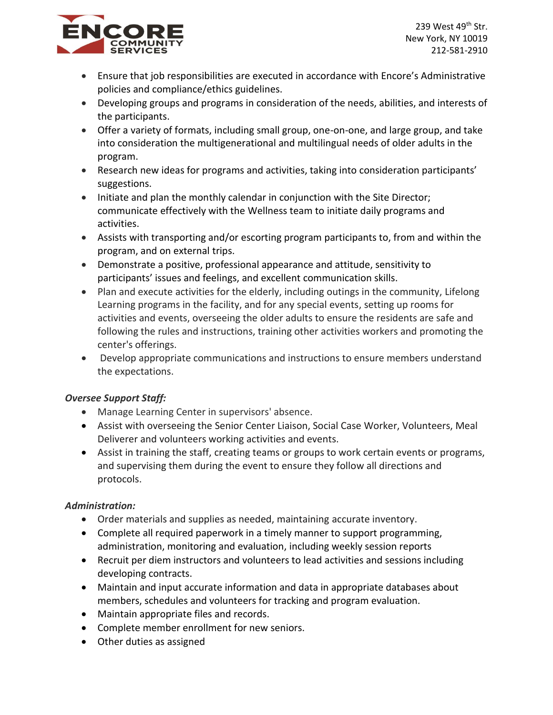



- Ensure that job responsibilities are executed in accordance with Encore's Administrative policies and compliance/ethics guidelines.
- Developing groups and programs in consideration of the needs, abilities, and interests of the participants.
- Offer a variety of formats, including small group, one-on-one, and large group, and take into consideration the multigenerational and multilingual needs of older adults in the program.
- Research new ideas for programs and activities, taking into consideration participants' suggestions.
- Initiate and plan the monthly calendar in conjunction with the Site Director; communicate effectively with the Wellness team to initiate daily programs and activities.
- Assists with transporting and/or escorting program participants to, from and within the program, and on external trips.
- Demonstrate a positive, professional appearance and attitude, sensitivity to participants' issues and feelings, and excellent communication skills.
- Plan and execute activities for the elderly, including outings in the community, Lifelong Learning programs in the facility, and for any special events, setting up rooms for activities and events, overseeing the older adults to ensure the residents are safe and following the rules and instructions, training other activities workers and promoting the center's offerings.
- Develop appropriate communications and instructions to ensure members understand the expectations.

# *Oversee Support Staff:*

- Manage Learning Center in supervisors' absence.
- Assist with overseeing the Senior Center Liaison, Social Case Worker, Volunteers, Meal Deliverer and volunteers working activities and events.
- Assist in training the staff, creating teams or groups to work certain events or programs, and supervising them during the event to ensure they follow all directions and protocols.

# *Administration:*

- Order materials and supplies as needed, maintaining accurate inventory.
- Complete all required paperwork in a timely manner to support programming, administration, monitoring and evaluation, including weekly session reports
- Recruit per diem instructors and volunteers to lead activities and sessions including developing contracts.
- Maintain and input accurate information and data in appropriate databases about members, schedules and volunteers for tracking and program evaluation.
- Maintain appropriate files and records.
- Complete member enrollment for new seniors.
- Other duties as assigned